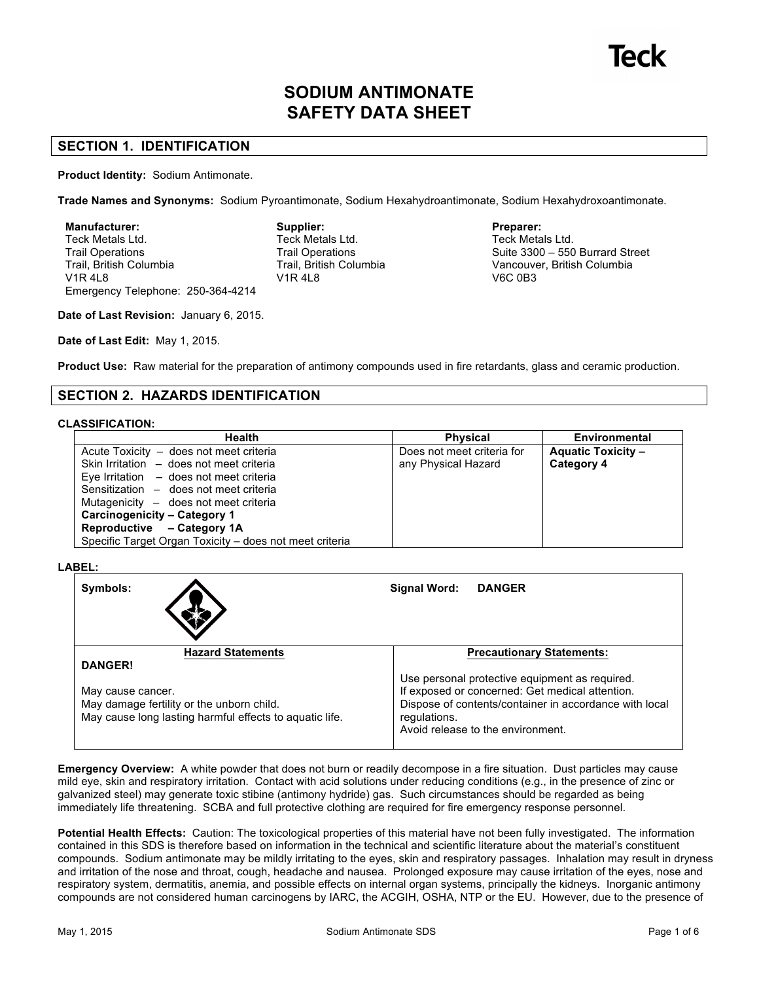# **SODIUM ANTIMONATE SAFETY DATA SHEET**

# **SECTION 1. IDENTIFICATION**

**Product Identity:** Sodium Antimonate.

**Trade Names and Synonyms:** Sodium Pyroantimonate, Sodium Hexahydroantimonate, Sodium Hexahydroxoantimonate.

**Manufacturer:** Teck Metals Ltd. Trail Operations Trail, British Columbia V1R 4L8 Emergency Telephone: 250-364-4214 **Supplier:** Teck Metals Ltd. Trail Operations Trail, British Columbia V1R 4L8

### **Preparer:**

Teck Metals Ltd. Suite 3300 – 550 Burrard Street Vancouver, British Columbia V6C 0B3

**Date of Last Revision:** January 6, 2015.

**Date of Last Edit:** May 1, 2015.

**Product Use:** Raw material for the preparation of antimony compounds used in fire retardants, glass and ceramic production.

# **SECTION 2. HAZARDS IDENTIFICATION**

### **CLASSIFICATION:**

| <b>Health</b>                                           | <b>Physical</b>            | Environmental             |
|---------------------------------------------------------|----------------------------|---------------------------|
| Acute Toxicity - does not meet criteria                 | Does not meet criteria for | <b>Aquatic Toxicity -</b> |
| Skin Irritation - does not meet criteria                | any Physical Hazard        | Category 4                |
| Eye Irritation $-$ does not meet criteria               |                            |                           |
| Sensitization - does not meet criteria                  |                            |                           |
| Mutagenicity – does not meet criteria                   |                            |                           |
| Carcinogenicity - Category 1                            |                            |                           |
| Reproductive - Category 1A                              |                            |                           |
| Specific Target Organ Toxicity – does not meet criteria |                            |                           |

### **LABEL:**

| Symbols:                                                                                                                  | Signal Word:<br><b>DANGER</b>                                                                                                                                                                                    |
|---------------------------------------------------------------------------------------------------------------------------|------------------------------------------------------------------------------------------------------------------------------------------------------------------------------------------------------------------|
| <b>Hazard Statements</b>                                                                                                  | <b>Precautionary Statements:</b>                                                                                                                                                                                 |
| <b>DANGER!</b>                                                                                                            |                                                                                                                                                                                                                  |
| May cause cancer.<br>May damage fertility or the unborn child.<br>May cause long lasting harmful effects to aquatic life. | Use personal protective equipment as required.<br>If exposed or concerned: Get medical attention.<br>Dispose of contents/container in accordance with local<br>regulations.<br>Avoid release to the environment. |

**Emergency Overview:** A white powder that does not burn or readily decompose in a fire situation. Dust particles may cause mild eye, skin and respiratory irritation. Contact with acid solutions under reducing conditions (e.g., in the presence of zinc or galvanized steel) may generate toxic stibine (antimony hydride) gas. Such circumstances should be regarded as being immediately life threatening. SCBA and full protective clothing are required for fire emergency response personnel.

**Potential Health Effects:** Caution: The toxicological properties of this material have not been fully investigated. The information contained in this SDS is therefore based on information in the technical and scientific literature about the material's constituent compounds. Sodium antimonate may be mildly irritating to the eyes, skin and respiratory passages. Inhalation may result in dryness and irritation of the nose and throat, cough, headache and nausea. Prolonged exposure may cause irritation of the eyes, nose and respiratory system, dermatitis, anemia, and possible effects on internal organ systems, principally the kidneys. Inorganic antimony compounds are not considered human carcinogens by IARC, the ACGIH, OSHA, NTP or the EU. However, due to the presence of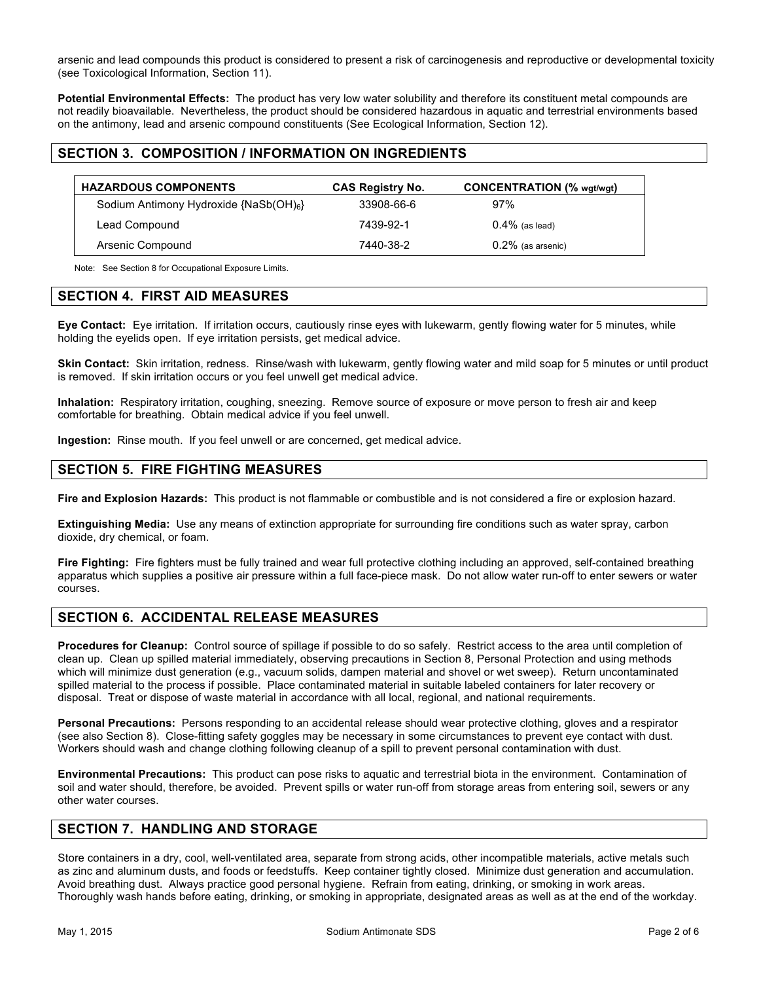arsenic and lead compounds this product is considered to present a risk of carcinogenesis and reproductive or developmental toxicity (see Toxicological Information, Section 11).

**Potential Environmental Effects:** The product has very low water solubility and therefore its constituent metal compounds are not readily bioavailable. Nevertheless, the product should be considered hazardous in aquatic and terrestrial environments based on the antimony, lead and arsenic compound constituents (See Ecological Information, Section 12).

### **SECTION 3. COMPOSITION / INFORMATION ON INGREDIENTS**

| <b>HAZARDOUS COMPONENTS</b>               | <b>CAS Registry No.</b> | <b>CONCENTRATION</b> (% wgt/wgt) |
|-------------------------------------------|-------------------------|----------------------------------|
| Sodium Antimony Hydroxide $\{NaSb(OH)6\}$ | 33908-66-6              | 97%                              |
| Lead Compound                             | 7439-92-1               | $0.4\%$ (as lead)                |
| Arsenic Compound                          | 7440-38-2               | $0.2\%$ (as arsenic)             |

Note: See Section 8 for Occupational Exposure Limits.

### **SECTION 4. FIRST AID MEASURES**

**Eye Contact:** Eye irritation. If irritation occurs, cautiously rinse eyes with lukewarm, gently flowing water for 5 minutes, while holding the eyelids open. If eye irritation persists, get medical advice.

**Skin Contact:** Skin irritation, redness. Rinse/wash with lukewarm, gently flowing water and mild soap for 5 minutes or until product is removed. If skin irritation occurs or you feel unwell get medical advice.

**Inhalation:** Respiratory irritation, coughing, sneezing. Remove source of exposure or move person to fresh air and keep comfortable for breathing. Obtain medical advice if you feel unwell.

**Ingestion:** Rinse mouth. If you feel unwell or are concerned, get medical advice.

# **SECTION 5. FIRE FIGHTING MEASURES**

**Fire and Explosion Hazards:** This product is not flammable or combustible and is not considered a fire or explosion hazard.

**Extinguishing Media:** Use any means of extinction appropriate for surrounding fire conditions such as water spray, carbon dioxide, dry chemical, or foam.

**Fire Fighting:** Fire fighters must be fully trained and wear full protective clothing including an approved, self-contained breathing apparatus which supplies a positive air pressure within a full face-piece mask. Do not allow water run-off to enter sewers or water courses.

### **SECTION 6. ACCIDENTAL RELEASE MEASURES**

**Procedures for Cleanup:** Control source of spillage if possible to do so safely. Restrict access to the area until completion of clean up. Clean up spilled material immediately, observing precautions in Section 8, Personal Protection and using methods which will minimize dust generation (e.g., vacuum solids, dampen material and shovel or wet sweep). Return uncontaminated spilled material to the process if possible. Place contaminated material in suitable labeled containers for later recovery or disposal. Treat or dispose of waste material in accordance with all local, regional, and national requirements.

**Personal Precautions:** Persons responding to an accidental release should wear protective clothing, gloves and a respirator (see also Section 8). Close-fitting safety goggles may be necessary in some circumstances to prevent eye contact with dust. Workers should wash and change clothing following cleanup of a spill to prevent personal contamination with dust.

**Environmental Precautions:** This product can pose risks to aquatic and terrestrial biota in the environment. Contamination of soil and water should, therefore, be avoided. Prevent spills or water run-off from storage areas from entering soil, sewers or any other water courses.

### **SECTION 7. HANDLING AND STORAGE**

Store containers in a dry, cool, well-ventilated area, separate from strong acids, other incompatible materials, active metals such as zinc and aluminum dusts, and foods or feedstuffs. Keep container tightly closed. Minimize dust generation and accumulation. Avoid breathing dust. Always practice good personal hygiene. Refrain from eating, drinking, or smoking in work areas. Thoroughly wash hands before eating, drinking, or smoking in appropriate, designated areas as well as at the end of the workday.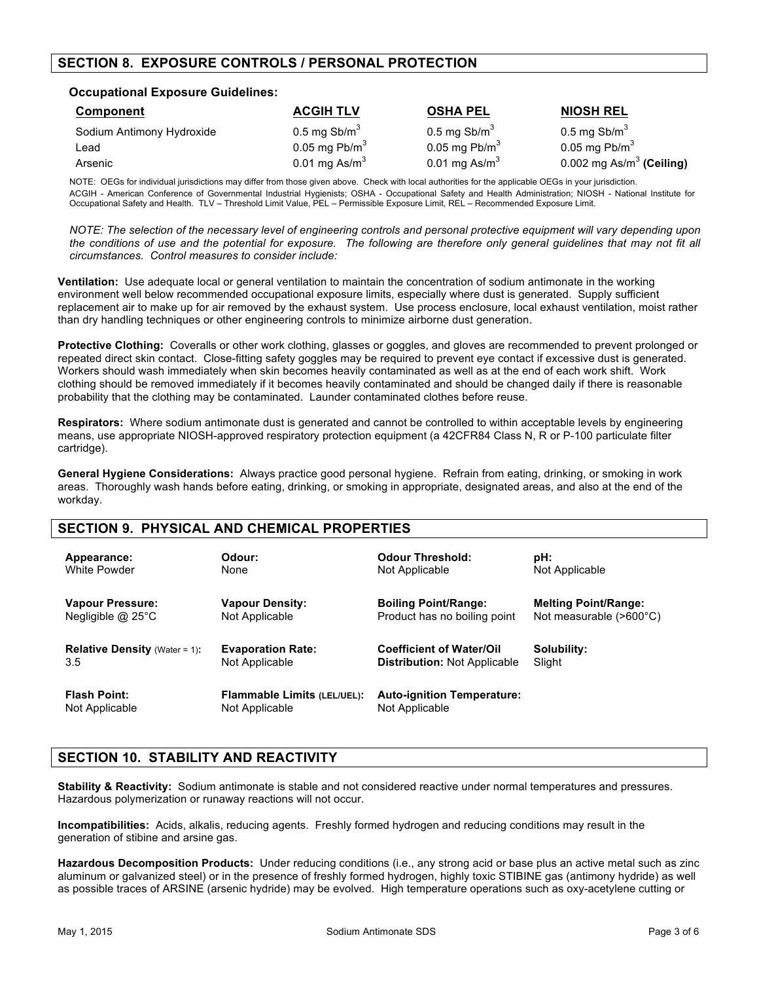# **SECTION 8. EXPOSURE CONTROLS / PERSONAL PROTECTION**

### **Occupational Exposure Guidelines:**

| Component                 | <b>ACGIH TLV</b>       | <b>OSHA PEL</b>        | <b>NIOSH REL</b>            |
|---------------------------|------------------------|------------------------|-----------------------------|
| Sodium Antimony Hydroxide | 0.5 mg $\text{Sb/m}^3$ | 0.5 mg $\text{Sb/m}^3$ | 0.5 mg Sb/m $3$             |
| Lead                      | 0.05 mg $Pb/m3$        | 0.05 mg $Pb/m3$        | 0.05 mg Pb/m $3$            |
| Arsenic                   | 0.01 mg As/ $m3$       | 0.01 mg As/ $m3$       | 0.002 mg As/m $3$ (Ceiling) |

NOTE: OEGs for individual jurisdictions may differ from those given above. Check with local authorities for the applicable OEGs in your jurisdiction. ACGIH - American Conference of Governmental Industrial Hygienists; OSHA - Occupational Safety and Health Administration; NIOSH - National Institute for Occupational Safety and Health. TLV – Threshold Limit Value, PEL – Permissible Exposure Limit, REL – Recommended Exposure Limit.

*NOTE: The selection of the necessary level of engineering controls and personal protective equipment will vary depending upon the conditions of use and the potential for exposure. The following are therefore only general guidelines that may not fit all circumstances. Control measures to consider include:*

**Ventilation:** Use adequate local or general ventilation to maintain the concentration of sodium antimonate in the working environment well below recommended occupational exposure limits, especially where dust is generated. Supply sufficient replacement air to make up for air removed by the exhaust system. Use process enclosure, local exhaust ventilation, moist rather than dry handling techniques or other engineering controls to minimize airborne dust generation.

**Protective Clothing:** Coveralls or other work clothing, glasses or goggles, and gloves are recommended to prevent prolonged or repeated direct skin contact. Close-fitting safety goggles may be required to prevent eye contact if excessive dust is generated. Workers should wash immediately when skin becomes heavily contaminated as well as at the end of each work shift. Work clothing should be removed immediately if it becomes heavily contaminated and should be changed daily if there is reasonable probability that the clothing may be contaminated. Launder contaminated clothes before reuse.

**Respirators:** Where sodium antimonate dust is generated and cannot be controlled to within acceptable levels by engineering means, use appropriate NIOSH-approved respiratory protection equipment (a 42CFR84 Class N, R or P-100 particulate filter cartridge).

**General Hygiene Considerations:** Always practice good personal hygiene. Refrain from eating, drinking, or smoking in work areas. Thoroughly wash hands before eating, drinking, or smoking in appropriate, designated areas, and also at the end of the workday.

### **SECTION 9. PHYSICAL AND CHEMICAL PROPERTIES**

| Appearance:                          | Odour:                             | <b>Odour Threshold:</b>             | pH:                              |
|--------------------------------------|------------------------------------|-------------------------------------|----------------------------------|
| White Powder                         | None                               | Not Applicable                      | Not Applicable                   |
| Vapour Pressure:                     | <b>Vapour Density:</b>             | <b>Boiling Point/Range:</b>         | <b>Melting Point/Range:</b>      |
| Negligible $@$ 25 $°C$               | Not Applicable                     | Product has no boiling point        | Not measurable $(>600^{\circ}C)$ |
| <b>Relative Density (Water = 1):</b> | <b>Evaporation Rate:</b>           | <b>Coefficient of Water/Oil</b>     | Solubility:                      |
| 3.5                                  | Not Applicable                     | <b>Distribution: Not Applicable</b> | Slight                           |
| <b>Flash Point:</b>                  | <b>Flammable Limits (LEL/UEL):</b> | <b>Auto-ignition Temperature:</b>   |                                  |
| Not Applicable                       | Not Applicable                     | Not Applicable                      |                                  |

# **SECTION 10. STABILITY AND REACTIVITY**

**Stability & Reactivity:** Sodium antimonate is stable and not considered reactive under normal temperatures and pressures. Hazardous polymerization or runaway reactions will not occur.

**Incompatibilities:** Acids, alkalis, reducing agents. Freshly formed hydrogen and reducing conditions may result in the generation of stibine and arsine gas.

**Hazardous Decomposition Products:** Under reducing conditions (i.e., any strong acid or base plus an active metal such as zinc aluminum or galvanized steel) or in the presence of freshly formed hydrogen, highly toxic STIBINE gas (antimony hydride) as well as possible traces of ARSINE (arsenic hydride) may be evolved. High temperature operations such as oxy-acetylene cutting or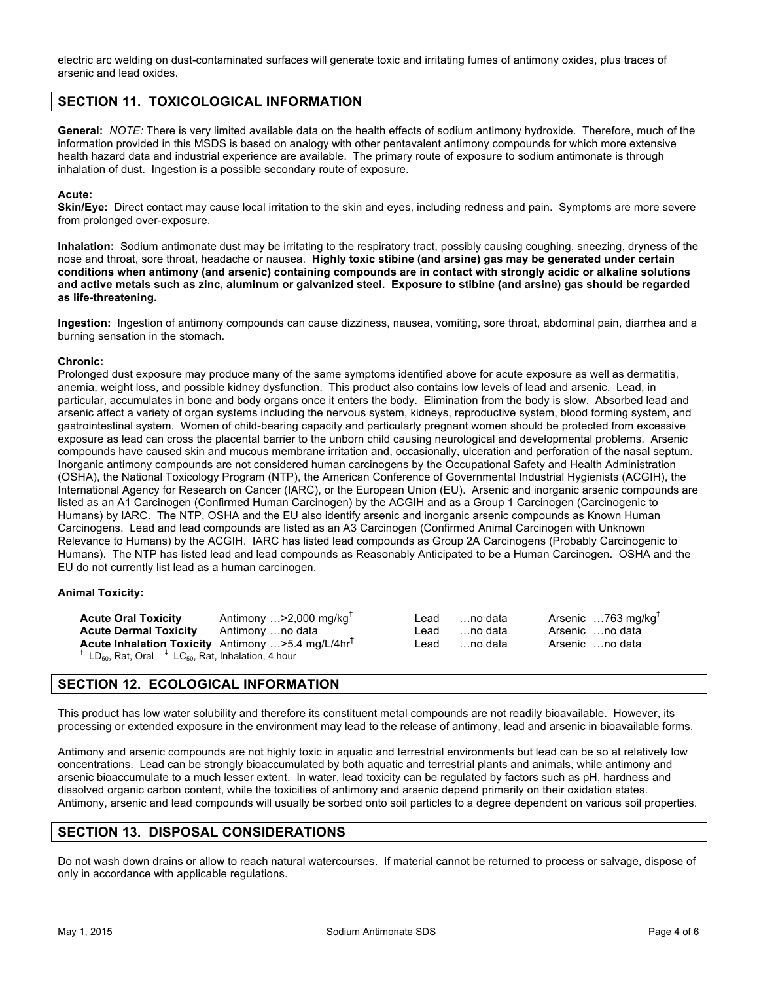electric arc welding on dust-contaminated surfaces will generate toxic and irritating fumes of antimony oxides, plus traces of arsenic and lead oxides.

# **SECTION 11. TOXICOLOGICAL INFORMATION**

**General:** *NOTE:* There is very limited available data on the health effects of sodium antimony hydroxide. Therefore, much of the information provided in this MSDS is based on analogy with other pentavalent antimony compounds for which more extensive health hazard data and industrial experience are available. The primary route of exposure to sodium antimonate is through inhalation of dust. Ingestion is a possible secondary route of exposure.

#### **Acute:**

**Skin/Eye:** Direct contact may cause local irritation to the skin and eyes, including redness and pain. Symptoms are more severe from prolonged over-exposure.

**Inhalation:** Sodium antimonate dust may be irritating to the respiratory tract, possibly causing coughing, sneezing, dryness of the nose and throat, sore throat, headache or nausea. **Highly toxic stibine (and arsine) gas may be generated under certain conditions when antimony (and arsenic) containing compounds are in contact with strongly acidic or alkaline solutions and active metals such as zinc, aluminum or galvanized steel. Exposure to stibine (and arsine) gas should be regarded as life-threatening.**

**Ingestion:** Ingestion of antimony compounds can cause dizziness, nausea, vomiting, sore throat, abdominal pain, diarrhea and a burning sensation in the stomach.

#### **Chronic:**

Prolonged dust exposure may produce many of the same symptoms identified above for acute exposure as well as dermatitis, anemia, weight loss, and possible kidney dysfunction. This product also contains low levels of lead and arsenic. Lead, in particular, accumulates in bone and body organs once it enters the body. Elimination from the body is slow. Absorbed lead and arsenic affect a variety of organ systems including the nervous system, kidneys, reproductive system, blood forming system, and gastrointestinal system. Women of child-bearing capacity and particularly pregnant women should be protected from excessive exposure as lead can cross the placental barrier to the unborn child causing neurological and developmental problems. Arsenic compounds have caused skin and mucous membrane irritation and, occasionally, ulceration and perforation of the nasal septum. Inorganic antimony compounds are not considered human carcinogens by the Occupational Safety and Health Administration (OSHA), the National Toxicology Program (NTP), the American Conference of Governmental Industrial Hygienists (ACGIH), the International Agency for Research on Cancer (IARC), or the European Union (EU). Arsenic and inorganic arsenic compounds are listed as an A1 Carcinogen (Confirmed Human Carcinogen) by the ACGIH and as a Group 1 Carcinogen (Carcinogenic to Humans) by IARC. The NTP, OSHA and the EU also identify arsenic and inorganic arsenic compounds as Known Human Carcinogens. Lead and lead compounds are listed as an A3 Carcinogen (Confirmed Animal Carcinogen with Unknown Relevance to Humans) by the ACGIH. IARC has listed lead compounds as Group 2A Carcinogens (Probably Carcinogenic to Humans). The NTP has listed lead and lead compounds as Reasonably Anticipated to be a Human Carcinogen. OSHA and the EU do not currently list lead as a human carcinogen.

#### **Animal Toxicity:**

| <b>Acute Oral Toxicity</b>                                                                                  | Antimony  > 2,000 mg/kg <sup>T</sup>                          | Lead | …no data | Arsenic  763 mg/kg <sup>+</sup> |
|-------------------------------------------------------------------------------------------------------------|---------------------------------------------------------------|------|----------|---------------------------------|
| <b>Acute Dermal Toxicity</b>                                                                                | Antimony …no data                                             | Lead | …no data | Arsenic no data                 |
|                                                                                                             | Acute Inhalation Toxicity Antimony >5.4 mg/L/4hr <sup>+</sup> | Lead | …no data | Arsenic no data                 |
| <sup>†</sup> LD <sub>50</sub> , Rat, Oral $\lambda$ <sup>+</sup> LC <sub>50</sub> , Rat, Inhalation, 4 hour |                                                               |      |          |                                 |

### **SECTION 12. ECOLOGICAL INFORMATION**

This product has low water solubility and therefore its constituent metal compounds are not readily bioavailable. However, its processing or extended exposure in the environment may lead to the release of antimony, lead and arsenic in bioavailable forms.

Antimony and arsenic compounds are not highly toxic in aquatic and terrestrial environments but lead can be so at relatively low concentrations. Lead can be strongly bioaccumulated by both aquatic and terrestrial plants and animals, while antimony and arsenic bioaccumulate to a much lesser extent. In water, lead toxicity can be regulated by factors such as pH, hardness and dissolved organic carbon content, while the toxicities of antimony and arsenic depend primarily on their oxidation states. Antimony, arsenic and lead compounds will usually be sorbed onto soil particles to a degree dependent on various soil properties.

### **SECTION 13. DISPOSAL CONSIDERATIONS**

Do not wash down drains or allow to reach natural watercourses. If material cannot be returned to process or salvage, dispose of only in accordance with applicable regulations.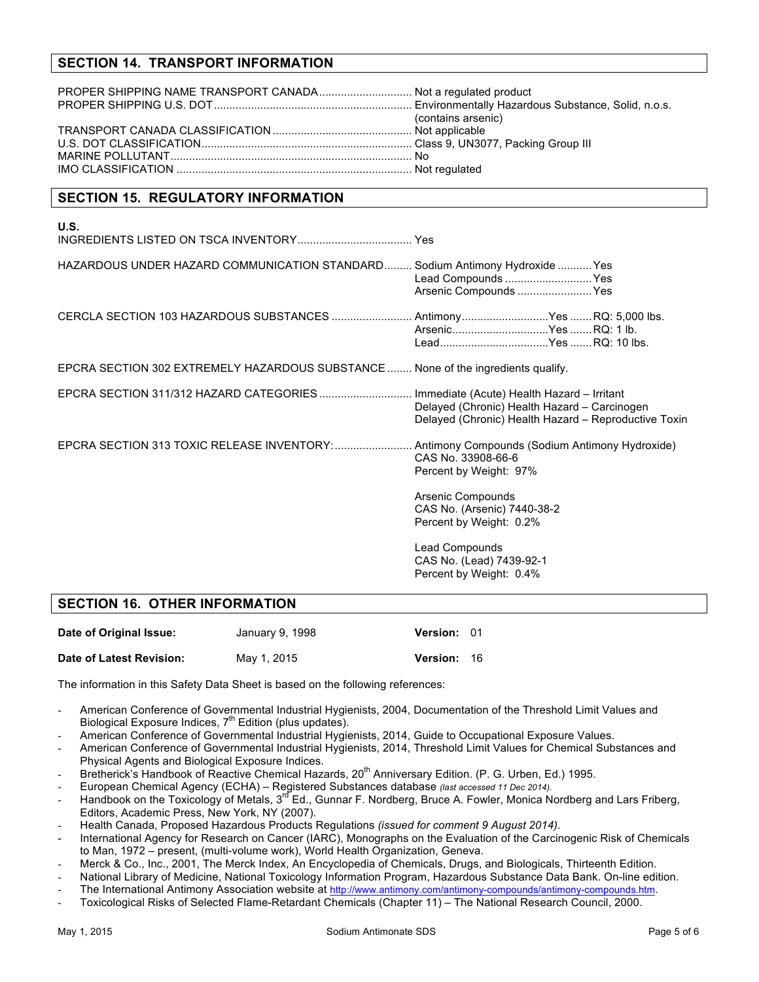# **SECTION 14. TRANSPORT INFORMATION**

| (contains arsenic) |
|--------------------|
|                    |
|                    |
|                    |
|                    |

# **SECTION 15. REGULATORY INFORMATION**

| <b>U.S.</b>                                                                                |                                                                                                      |  |
|--------------------------------------------------------------------------------------------|------------------------------------------------------------------------------------------------------|--|
| HAZARDOUS UNDER HAZARD COMMUNICATION STANDARD Sodium Antimony Hydroxide  Yes               | Lead Compounds  Yes<br>Arsenic Compounds  Yes                                                        |  |
| CERCLA SECTION 103 HAZARDOUS SUBSTANCES  AntimonyYes  RQ: 5,000 lbs.                       | ArsenicYes RQ: 1 lb.                                                                                 |  |
| EPCRA SECTION 302 EXTREMELY HAZARDOUS SUBSTANCE  None of the ingredients qualify.          |                                                                                                      |  |
| EPCRA SECTION 311/312 HAZARD CATEGORIES Immediate (Acute) Health Hazard - Irritant         | Delayed (Chronic) Health Hazard - Carcinogen<br>Delayed (Chronic) Health Hazard - Reproductive Toxin |  |
| EPCRA SECTION 313 TOXIC RELEASE INVENTORY:  Antimony Compounds (Sodium Antimony Hydroxide) | CAS No. 33908-66-6<br>Percent by Weight: 97%                                                         |  |
|                                                                                            | Arsenic Compounds<br>CAS No. (Arsenic) 7440-38-2<br>Percent by Weight: 0.2%                          |  |
|                                                                                            | Lead Compounds<br>CAS No. (Lead) 7439-92-1                                                           |  |

Percent by Weight: 0.4%

# **SECTION 16. OTHER INFORMATION**

| Date of Original Issue:  | January 9, 1998 | Version: 01     |      |
|--------------------------|-----------------|-----------------|------|
| Date of Latest Revision: | May 1, 2015     | <b>Version:</b> | - 16 |

The information in this Safety Data Sheet is based on the following references:

- American Conference of Governmental Industrial Hygienists, 2004, Documentation of the Threshold Limit Values and Biological Exposure Indices,  $7<sup>th</sup>$  Edition (plus updates).
- American Conference of Governmental Industrial Hygienists, 2014, Guide to Occupational Exposure Values.
- American Conference of Governmental Industrial Hygienists, 2014, Threshold Limit Values for Chemical Substances and Physical Agents and Biological Exposure Indices.
- Bretherick's Handbook of Reactive Chemical Hazards, 20<sup>th</sup> Anniversary Edition. (P. G. Urben, Ed.) 1995.
- European Chemical Agency (ECHA) Registered Substances database *(last accessed 11 Dec 2014).*
- Handbook on the Toxicology of Metals, 3<sup>rd</sup> Ed., Gunnar F. Nordberg, Bruce A. Fowler, Monica Nordberg and Lars Friberg, Editors, Academic Press, New York, NY (2007).
- Health Canada, Proposed Hazardous Products Regulations *(issued for comment 9 August 2014)*.
- International Agency for Research on Cancer (IARC), Monographs on the Evaluation of the Carcinogenic Risk of Chemicals to Man, 1972 – present, (multi-volume work), World Health Organization, Geneva.
- Merck & Co., Inc., 2001, The Merck Index, An Encyclopedia of Chemicals, Drugs, and Biologicals, Thirteenth Edition.
- National Library of Medicine, National Toxicology Information Program, Hazardous Substance Data Bank. On-line edition.
- The International Antimony Association website at http://www.antimony.com/antimony-compounds/antimony-compounds.htm.
- Toxicological Risks of Selected Flame-Retardant Chemicals (Chapter 11) The National Research Council, 2000.